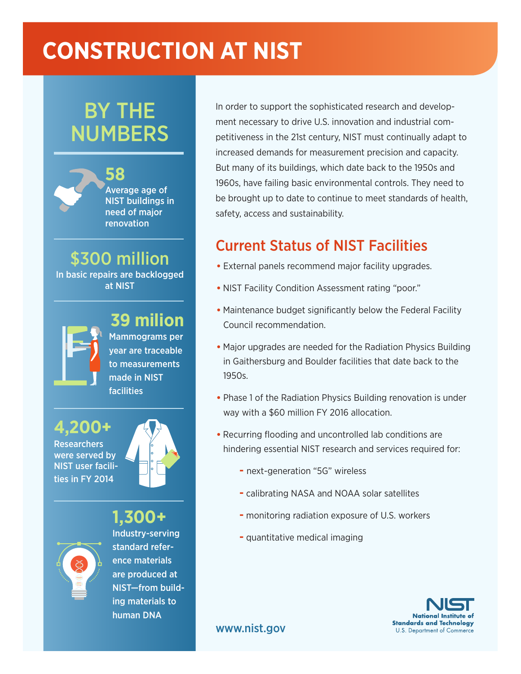# **CONSTRUCTION AT NIST**

# BY THE NUMBERS

**58**



Average age of NIST buildings in need of major renovation

### \$300 million In basic repairs are backlogged

at NIST

### **39 milion**

Mammograms per year are traceable to measurements made in NIST facilities

**4,200+**





### **1,300+**



Industry-serving standard reference materials are produced at NIST—from building materials to human DNA

In order to support the sophisticated research and development necessary to drive U.S. innovation and industrial competitiveness in the 21st century, NIST must continually adapt to increased demands for measurement precision and capacity. But many of its buildings, which date back to the 1950s and 1960s, have failing basic environmental controls. They need to be brought up to date to continue to meet standards of health, safety, access and sustainability.

## Current Status of NIST Facilities

- External panels recommend major facility upgrades.
- NIST Facility Condition Assessment rating "poor."
- Maintenance budget significantly below the Federal Facility Council recommendation.
- Major upgrades are needed for the Radiation Physics Building in Gaithersburg and Boulder facilities that date back to the 1950s.
- Phase 1 of the Radiation Physics Building renovation is under way with a \$60 million FY 2016 allocation.
- Recurring flooding and uncontrolled lab conditions are hindering essential NIST research and services required for:
	- **-** next-generation "5G" wireless
	- **-** calibrating NASA and NOAA solar satellites
	- monitoring radiation exposure of U.S. workers
	- **-** quantitative medical imaging



www.nist.gov